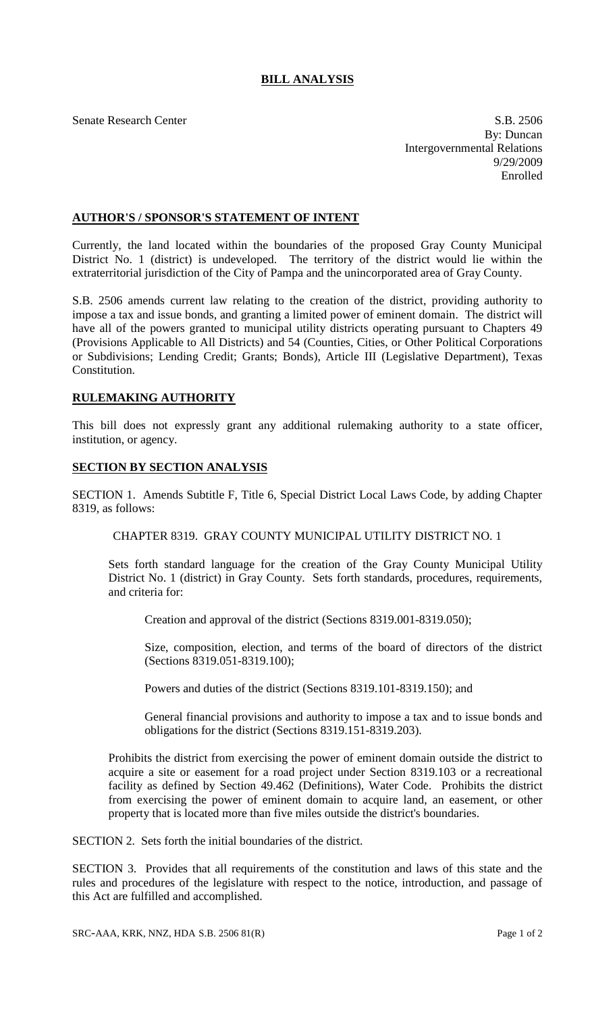## **BILL ANALYSIS**

Senate Research Center S.B. 2506 By: Duncan Intergovernmental Relations 9/29/2009 Enrolled

## **AUTHOR'S / SPONSOR'S STATEMENT OF INTENT**

Currently, the land located within the boundaries of the proposed Gray County Municipal District No. 1 (district) is undeveloped. The territory of the district would lie within the extraterritorial jurisdiction of the City of Pampa and the unincorporated area of Gray County.

S.B. 2506 amends current law relating to the creation of the district, providing authority to impose a tax and issue bonds, and granting a limited power of eminent domain. The district will have all of the powers granted to municipal utility districts operating pursuant to Chapters 49 (Provisions Applicable to All Districts) and 54 (Counties, Cities, or Other Political Corporations or Subdivisions; Lending Credit; Grants; Bonds), Article III (Legislative Department), Texas Constitution.

## **RULEMAKING AUTHORITY**

This bill does not expressly grant any additional rulemaking authority to a state officer, institution, or agency.

## **SECTION BY SECTION ANALYSIS**

SECTION 1. Amends Subtitle F, Title 6, Special District Local Laws Code, by adding Chapter 8319, as follows:

CHAPTER 8319. GRAY COUNTY MUNICIPAL UTILITY DISTRICT NO. 1

Sets forth standard language for the creation of the Gray County Municipal Utility District No. 1 (district) in Gray County. Sets forth standards, procedures, requirements, and criteria for:

Creation and approval of the district (Sections 8319.001-8319.050);

Size, composition, election, and terms of the board of directors of the district (Sections 8319.051-8319.100);

Powers and duties of the district (Sections 8319.101-8319.150); and

General financial provisions and authority to impose a tax and to issue bonds and obligations for the district (Sections 8319.151-8319.203).

Prohibits the district from exercising the power of eminent domain outside the district to acquire a site or easement for a road project under Section 8319.103 or a recreational facility as defined by Section 49.462 (Definitions), Water Code. Prohibits the district from exercising the power of eminent domain to acquire land, an easement, or other property that is located more than five miles outside the district's boundaries.

SECTION 2. Sets forth the initial boundaries of the district.

SECTION 3. Provides that all requirements of the constitution and laws of this state and the rules and procedures of the legislature with respect to the notice, introduction, and passage of this Act are fulfilled and accomplished.